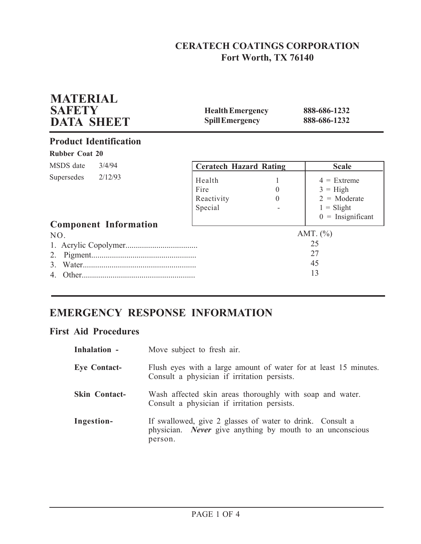# **CERATECH COATINGS CORPORATION Fort Worth, TX 76140**

| <b>MATERIAL</b><br><b>SAFETY</b><br><b>DATA SHEET</b> | <b>Health Emergency</b><br><b>Spill Emergency</b> |                      | 888-686-1232<br>888-686-1232                                                                |
|-------------------------------------------------------|---------------------------------------------------|----------------------|---------------------------------------------------------------------------------------------|
| <b>Product Identification</b>                         |                                                   |                      |                                                                                             |
| <b>Rubber Coat 20</b>                                 |                                                   |                      |                                                                                             |
| MSDS date<br>3/4/94                                   | <b>Ceratech Hazard Rating</b>                     |                      | <b>Scale</b>                                                                                |
| 2/12/93<br>Supersedes                                 | Health<br>Fire<br>Reactivity<br>Special           | $\theta$<br>$\Omega$ | $4 =$ Extreme<br>$3 = High$<br>$2 = \text{Moderate}$<br>$1 =$ Slight<br>$0 =$ Insignificant |
| <b>Component Information</b><br>NO.                   |                                                   |                      | AMT. $(\% )$<br>25                                                                          |
| 2.<br>3.                                              |                                                   |                      | 27<br>45<br>13                                                                              |

# **EMERGENCY RESPONSE INFORMATION**

## **First Aid Procedures**

| Inhalation -         | Move subject to fresh air.                                                                                                               |
|----------------------|------------------------------------------------------------------------------------------------------------------------------------------|
| <b>Eye Contact-</b>  | Flush eyes with a large amount of water for at least 15 minutes.<br>Consult a physician if irritation persists.                          |
| <b>Skin Contact-</b> | Wash affected skin areas thoroughly with soap and water.<br>Consult a physician if irritation persists.                                  |
| Ingestion-           | If swallowed, give 2 glasses of water to drink. Consult a<br>physician. <i>Never</i> give anything by mouth to an unconscious<br>person. |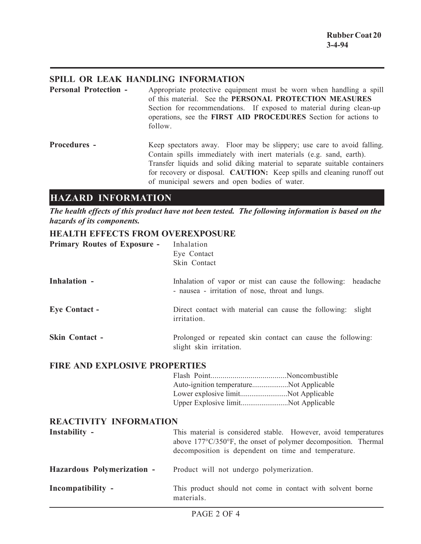## **SPILL OR LEAK HANDLING INFORMATION**

**Personal Protection -** Appropriate protective equipment must be worn when handling a spill of this material. See the **PERSONAL PROTECTION MEASURES** Section for recommendations. If exposed to material during clean-up operations, see the **FIRST AID PROCEDURES** Section for actions to follow.

**Procedures -** Keep spectators away. Floor may be slippery; use care to avoid falling. Contain spills immediately with inert materials (e.g. sand, earth). Transfer liquids and solid diking material to separate suitable containers for recovery or disposal. **CAUTION:** Keep spills and cleaning runoff out of municipal sewers and open bodies of water.

## **HAZARD INFORMATION**

*The health effects of this product have not been tested. The following information is based on the hazards of its components.*

## **HEALTH EFFECTS FROM OVEREXPOSURE**

| <b>Primary Routes of Exposure -</b>  | Inhalation<br>Eye Contact<br>Skin Contact                                                                                                                                                |
|--------------------------------------|------------------------------------------------------------------------------------------------------------------------------------------------------------------------------------------|
| Inhalation -                         | Inhalation of vapor or mist can cause the following: headache<br>- nausea - irritation of nose, throat and lungs.                                                                        |
| <b>Eye Contact -</b>                 | Direct contact with material can cause the following:<br>slight<br>irritation.                                                                                                           |
| <b>Skin Contact -</b>                | Prolonged or repeated skin contact can cause the following:<br>slight skin irritation.                                                                                                   |
| <b>FIRE AND EXPLOSIVE PROPERTIES</b> |                                                                                                                                                                                          |
|                                      | Auto-ignition temperatureNot Applicable<br>Lower explosive limitNot Applicable<br>Upper Explosive limitNot Applicable                                                                    |
| <b>REACTIVITY INFORMATION</b>        |                                                                                                                                                                                          |
| Instability -                        | This material is considered stable. However, avoid temperatures<br>above 177°C/350°F, the onset of polymer decomposition. Thermal<br>decomposition is dependent on time and temperature. |
| Hazardous Polymerization -           | Product will not undergo polymerization.                                                                                                                                                 |
| Incompatibility -                    | This product should not come in contact with solvent borne<br>materials.                                                                                                                 |
|                                      | $\overline{D}$ $\overline{A}$ $\overline{C}$ $\overline{D}$ $\overline{A}$ $\overline{C}$ $\overline{A}$                                                                                 |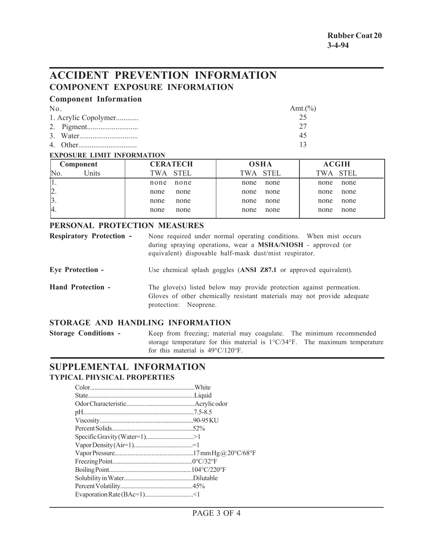# **ACCIDENT PREVENTION INFORMATION COMPONENT EXPOSURE INFORMATION**

| <b>Component Information</b> |             |
|------------------------------|-------------|
| No.                          | Amt. $(\%)$ |
| 1. Acrylic Copolymer         | 25          |
|                              | 27          |
|                              | 45          |
|                              |             |

#### **EXPOSURE LIMIT INFORMATION**

| Component                 | <b>CERATECH</b>    | <b>OSHA</b> | <b>ACGIH</b> |
|---------------------------|--------------------|-------------|--------------|
| Inits <sup>1</sup><br>No. | <b>STEL</b><br>TWA | TWA STEL    | TWA STEL     |
|                           | none               | none        | none         |
|                           | none               | none        | none         |
| $\vert 2. \vert$          | none               | none        | none         |
|                           | none               | none        | none         |
| $\beta$ .                 | none               | none        | none         |
|                           | none               | none        | none         |
| 4.                        | none               | none        | none         |
|                           | none               | none        | none         |

#### **PERSONAL PROTECTION MEASURES**

| <b>Respiratory Protection -</b> | None required under normal operating conditions. When mist occurs<br>during spraying operations, wear a MSHA/NIOSH - approved (or<br>equivalent) disposable half-mask dust/mist respirator. |
|---------------------------------|---------------------------------------------------------------------------------------------------------------------------------------------------------------------------------------------|
| <b>Eye Protection -</b>         | Use chemical splash goggles (ANSI Z87.1 or approved equivalent).                                                                                                                            |
| <b>Hand Protection -</b>        | The glove(s) listed below may provide protection against permeation.<br>Gloves of other chemically resistant materials may not provide adequate<br>protection: Neoprene.                    |

## **STORAGE AND HANDLING INFORMATION**

**Storage Conditions -** Keep from freezing; material may coagulate. The minimum recommended storage temperature for this material is 1°C/34°F. The maximum temperature for this material is 49°C/120°F.

## **SUPPLEMENTAL INFORMATION TYPICAL PHYSICAL PROPERTIES**

| Specific Gravity (Water=1)>1 |  |
|------------------------------|--|
|                              |  |
|                              |  |
|                              |  |
|                              |  |
|                              |  |
|                              |  |
|                              |  |